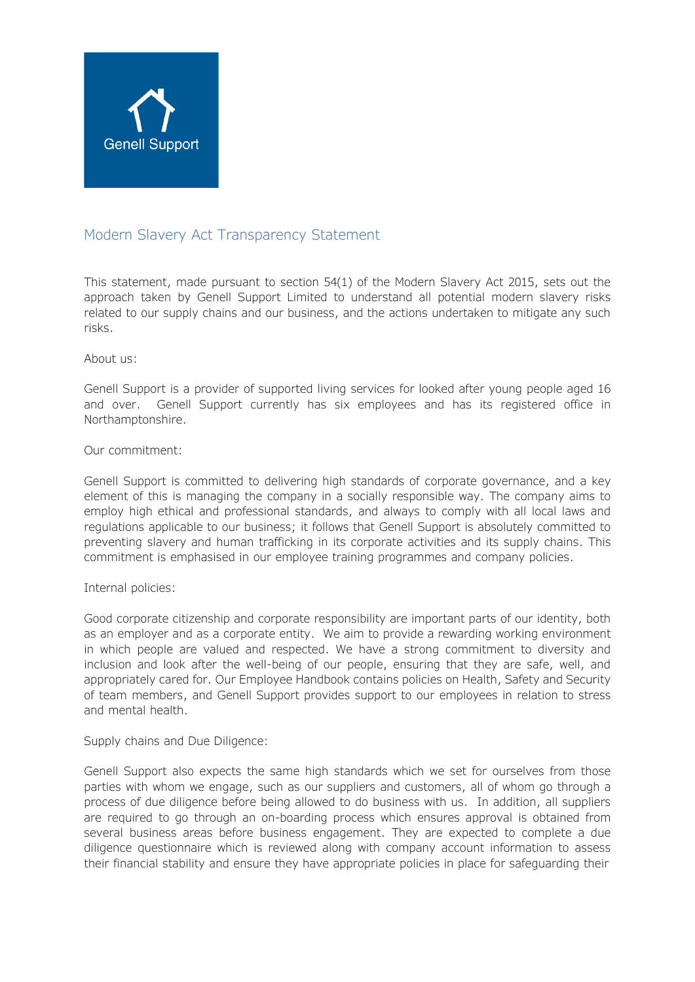

# Modern Slavery Act Transparency Statement

This statement, made pursuant to section 54(1) of the Modern Slavery Act 2015, sets out the approach taken by Genell Support Limited to understand all potential modern slavery risks related to our supply chains and our business, and the actions undertaken to mitigate any such risks.

# About us:

Genell Support is a provider of supported living services for looked after young people aged 16 and over. Genell Support currently has six employees and has its registered office in Northamptonshire.

# Our commitment:

Genell Support is committed to delivering high standards of corporate governance, and a key element of this is managing the company in a socially responsible way. The company aims to employ high ethical and professional standards, and always to comply with all local laws and regulations applicable to our business; it follows that Genell Support is absolutely committed to preventing slavery and human trafficking in its corporate activities and its supply chains. This commitment is emphasised in our employee training programmes and company policies.

# Internal policies:

Good corporate citizenship and corporate responsibility are important parts of our identity, both as an employer and as a corporate entity. We aim to provide a rewarding working environment in which people are valued and respected. We have a strong commitment to diversity and inclusion and look after the well-being of our people, ensuring that they are safe, well, and appropriately cared for. Our Employee Handbook contains policies on Health, Safety and Security of team members, and Genell Support provides support to our employees in relation to stress and mental health.

# Supply chains and Due Diligence:

Genell Support also expects the same high standards which we set for ourselves from those parties with whom we engage, such as our suppliers and customers, all of whom go through a process of due diligence before being allowed to do business with us. In addition, all suppliers are required to go through an on-boarding process which ensures approval is obtained from several business areas before business engagement. They are expected to complete a due diligence questionnaire which is reviewed along with company account information to assess their financial stability and ensure they have appropriate policies in place for safeguarding their